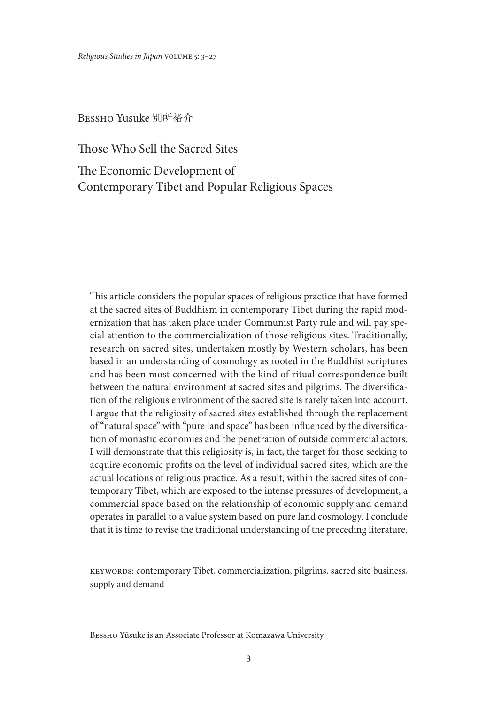*Religious Studies in Japan* volume 5: 3–27

Bessho Yūsuke 別所裕介

Those Who Sell the Sacred Sites

The Economic Development of Contemporary Tibet and Popular Religious Spaces

This article considers the popular spaces of religious practice that have formed at the sacred sites of Buddhism in contemporary Tibet during the rapid modernization that has taken place under Communist Party rule and will pay special attention to the commercialization of those religious sites. Traditionally, research on sacred sites, undertaken mostly by Western scholars, has been based in an understanding of cosmology as rooted in the Buddhist scriptures and has been most concerned with the kind of ritual correspondence built between the natural environment at sacred sites and pilgrims. The diversification of the religious environment of the sacred site is rarely taken into account. I argue that the religiosity of sacred sites established through the replacement of "natural space" with "pure land space" has been influenced by the diversification of monastic economies and the penetration of outside commercial actors. I will demonstrate that this religiosity is, in fact, the target for those seeking to acquire economic profits on the level of individual sacred sites, which are the actual locations of religious practice. As a result, within the sacred sites of contemporary Tibet, which are exposed to the intense pressures of development, a commercial space based on the relationship of economic supply and demand operates in parallel to a value system based on pure land cosmology. I conclude that it is time to revise the traditional understanding of the preceding literature.

keywords: contemporary Tibet, commercialization, pilgrims, sacred site business, supply and demand

Bessho Yūsuke is an Associate Professor at Komazawa University.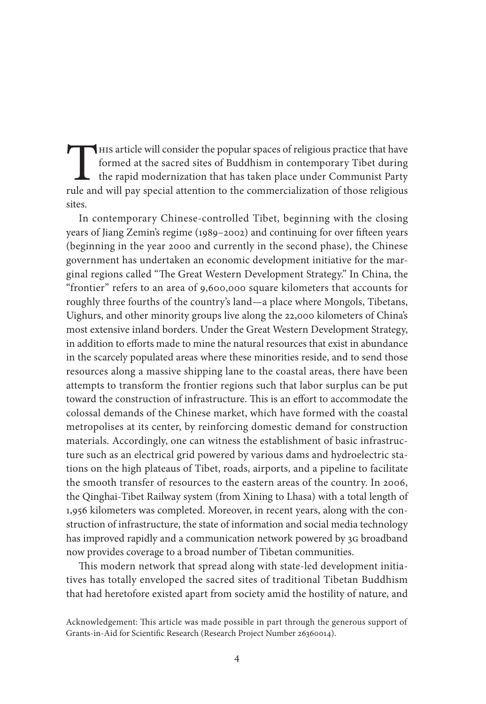This article will consider the popular spaces of religious practice that have formed at the sacred sites of Buddhism in contemporary Tibet during the rapid modernization that has taken place under Communist Party rule and will pay special attention to the commercialization of those religious sites.

In contemporary Chinese-controlled Tibet, beginning with the closing years of Jiang Zemin's regime (1989–2002) and continuing for over fifteen years (beginning in the year 2000 and currently in the second phase), the Chinese government has undertaken an economic development initiative for the marginal regions called "The Great Western Development Strategy." In China, the "frontier" refers to an area of 9,600,000 square kilometers that accounts for roughly three fourths of the country's land—a place where Mongols, Tibetans, Uighurs, and other minority groups live along the 22,000 kilometers of China's most extensive inland borders. Under the Great Western Development Strategy, in addition to efforts made to mine the natural resources that exist in abundance in the scarcely populated areas where these minorities reside, and to send those resources along a massive shipping lane to the coastal areas, there have been attempts to transform the frontier regions such that labor surplus can be put toward the construction of infrastructure. This is an effort to accommodate the colossal demands of the Chinese market, which have formed with the coastal metropolises at its center, by reinforcing domestic demand for construction materials. Accordingly, one can witness the establishment of basic infrastructure such as an electrical grid powered by various dams and hydroelectric stations on the high plateaus of Tibet, roads, airports, and a pipeline to facilitate the smooth transfer of resources to the eastern areas of the country. In 2006, the Qinghai-Tibet Railway system (from Xining to Lhasa) with a total length of 1,956 kilometers was completed. Moreover, in recent years, along with the construction of infrastructure, the state of information and social media technology has improved rapidly and a communication network powered by 3G broadband now provides coverage to a broad number of Tibetan communities.

This modern network that spread along with state-led development initiatives has totally enveloped the sacred sites of traditional Tibetan Buddhism that had heretofore existed apart from society amid the hostility of nature, and

Acknowledgement: This article was made possible in part through the generous support of Grants-in-Aid for Scientific Research (Research Project Number 26360014).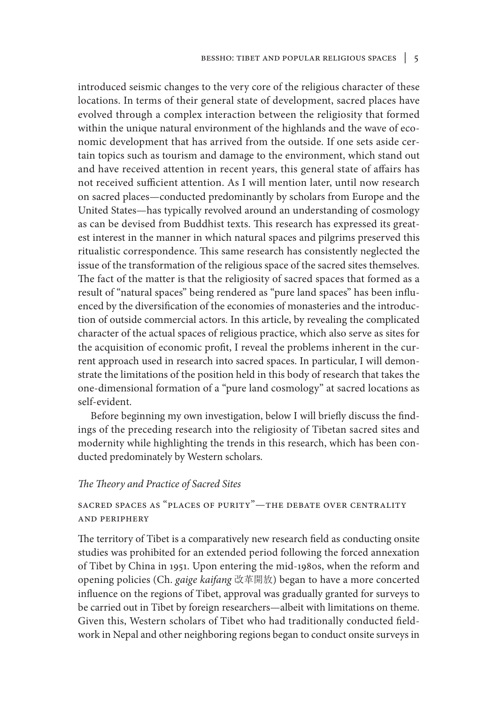introduced seismic changes to the very core of the religious character of these locations. In terms of their general state of development, sacred places have evolved through a complex interaction between the religiosity that formed within the unique natural environment of the highlands and the wave of economic development that has arrived from the outside. If one sets aside certain topics such as tourism and damage to the environment, which stand out and have received attention in recent years, this general state of affairs has not received sufficient attention. As I will mention later, until now research on sacred places—conducted predominantly by scholars from Europe and the United States—has typically revolved around an understanding of cosmology as can be devised from Buddhist texts. This research has expressed its greatest interest in the manner in which natural spaces and pilgrims preserved this ritualistic correspondence. This same research has consistently neglected the issue of the transformation of the religious space of the sacred sites themselves. The fact of the matter is that the religiosity of sacred spaces that formed as a result of "natural spaces" being rendered as "pure land spaces" has been influenced by the diversification of the economies of monasteries and the introduction of outside commercial actors. In this article, by revealing the complicated character of the actual spaces of religious practice, which also serve as sites for the acquisition of economic profit, I reveal the problems inherent in the current approach used in research into sacred spaces. In particular, I will demonstrate the limitations of the position held in this body of research that takes the one-dimensional formation of a "pure land cosmology" at sacred locations as self-evident.

Before beginning my own investigation, below I will briefly discuss the findings of the preceding research into the religiosity of Tibetan sacred sites and modernity while highlighting the trends in this research, which has been conducted predominately by Western scholars.

## *The Theory and Practice of Sacred Sites*

## sacred spaces as "places of purity"—the debate over centrality and periphery

The territory of Tibet is a comparatively new research field as conducting onsite studies was prohibited for an extended period following the forced annexation of Tibet by China in 1951. Upon entering the mid-1980s, when the reform and opening policies (Ch. *gaige kaifang* 改革開放) began to have a more concerted influence on the regions of Tibet, approval was gradually granted for surveys to be carried out in Tibet by foreign researchers—albeit with limitations on theme. Given this, Western scholars of Tibet who had traditionally conducted fieldwork in Nepal and other neighboring regions began to conduct onsite surveys in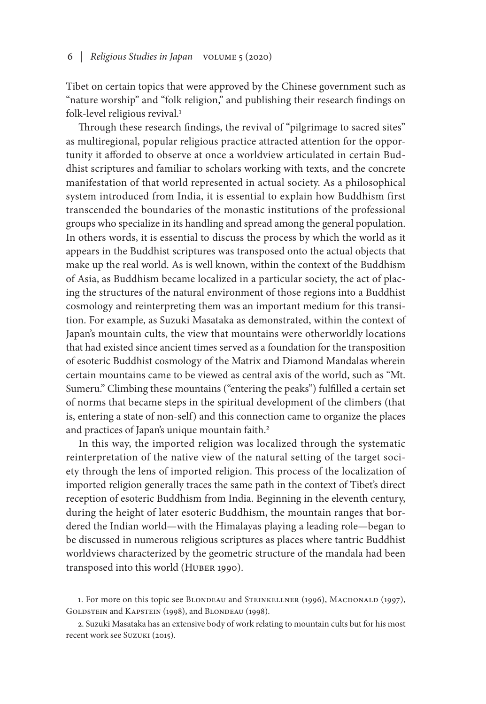### 6 *| Religious Studies in Japan* volume 5 (2020)

Tibet on certain topics that were approved by the Chinese government such as "nature worship" and "folk religion," and publishing their research findings on folk-level religious revival.<sup>1</sup>

Through these research findings, the revival of "pilgrimage to sacred sites" as multiregional, popular religious practice attracted attention for the opportunity it afforded to observe at once a worldview articulated in certain Buddhist scriptures and familiar to scholars working with texts, and the concrete manifestation of that world represented in actual society. As a philosophical system introduced from India, it is essential to explain how Buddhism first transcended the boundaries of the monastic institutions of the professional groups who specialize in its handling and spread among the general population. In others words, it is essential to discuss the process by which the world as it appears in the Buddhist scriptures was transposed onto the actual objects that make up the real world. As is well known, within the context of the Buddhism of Asia, as Buddhism became localized in a particular society, the act of placing the structures of the natural environment of those regions into a Buddhist cosmology and reinterpreting them was an important medium for this transition. For example, as Suzuki Masataka as demonstrated, within the context of Japan's mountain cults, the view that mountains were otherworldly locations that had existed since ancient times served as a foundation for the transposition of esoteric Buddhist cosmology of the Matrix and Diamond Mandalas wherein certain mountains came to be viewed as central axis of the world, such as "Mt. Sumeru." Climbing these mountains ("entering the peaks") fulfilled a certain set of norms that became steps in the spiritual development of the climbers (that is, entering a state of non-self) and this connection came to organize the places and practices of Japan's unique mountain faith.<sup>2</sup>

In this way, the imported religion was localized through the systematic reinterpretation of the native view of the natural setting of the target society through the lens of imported religion. This process of the localization of imported religion generally traces the same path in the context of Tibet's direct reception of esoteric Buddhism from India. Beginning in the eleventh century, during the height of later esoteric Buddhism, the mountain ranges that bordered the Indian world—with the Himalayas playing a leading role—began to be discussed in numerous religious scriptures as places where tantric Buddhist worldviews characterized by the geometric structure of the mandala had been transposed into this world (HUBER 1990).

<sup>1.</sup> For more on this topic see BLONDEAU and STEINKELLNER (1996), MACDONALD (1997), GOLDSTEIN and KAPSTEIN (1998), and BLONDEAU (1998).

<sup>2.</sup> Suzuki Masataka has an extensive body of work relating to mountain cults but for his most recent work see Suzuki (2015).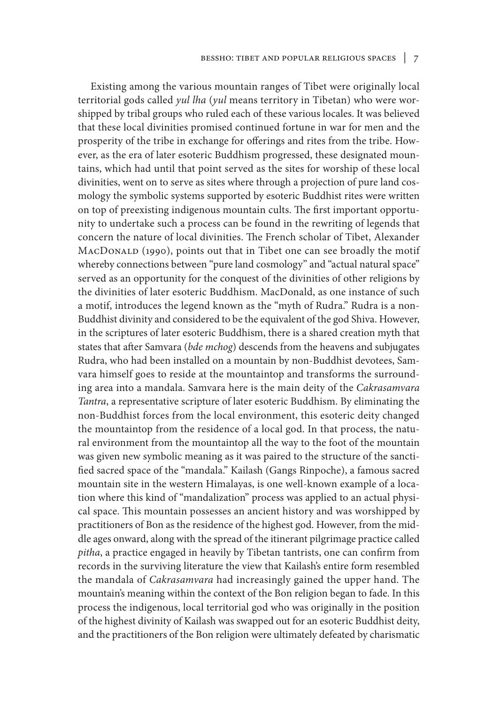Existing among the various mountain ranges of Tibet were originally local territorial gods called *yul lha* (*yul* means territory in Tibetan) who were worshipped by tribal groups who ruled each of these various locales. It was believed that these local divinities promised continued fortune in war for men and the prosperity of the tribe in exchange for offerings and rites from the tribe. However, as the era of later esoteric Buddhism progressed, these designated mountains, which had until that point served as the sites for worship of these local divinities, went on to serve as sites where through a projection of pure land cosmology the symbolic systems supported by esoteric Buddhist rites were written on top of preexisting indigenous mountain cults. The first important opportunity to undertake such a process can be found in the rewriting of legends that concern the nature of local divinities. The French scholar of Tibet, Alexander MACDONALD (1990), points out that in Tibet one can see broadly the motif whereby connections between "pure land cosmology" and "actual natural space" served as an opportunity for the conquest of the divinities of other religions by the divinities of later esoteric Buddhism. MacDonald, as one instance of such a motif, introduces the legend known as the "myth of Rudra." Rudra is a non-Buddhist divinity and considered to be the equivalent of the god Shiva. However, in the scriptures of later esoteric Buddhism, there is a shared creation myth that states that after Samvara (*bde mchog*) descends from the heavens and subjugates Rudra, who had been installed on a mountain by non-Buddhist devotees, Samvara himself goes to reside at the mountaintop and transforms the surrounding area into a mandala. Samvara here is the main deity of the *Cakrasamvara Tantra*, a representative scripture of later esoteric Buddhism. By eliminating the non-Buddhist forces from the local environment, this esoteric deity changed the mountaintop from the residence of a local god. In that process, the natural environment from the mountaintop all the way to the foot of the mountain was given new symbolic meaning as it was paired to the structure of the sanctified sacred space of the "mandala." Kailash (Gangs Rinpoche), a famous sacred mountain site in the western Himalayas, is one well-known example of a location where this kind of "mandalization" process was applied to an actual physical space. This mountain possesses an ancient history and was worshipped by practitioners of Bon as the residence of the highest god. However, from the middle ages onward, along with the spread of the itinerant pilgrimage practice called *pitha*, a practice engaged in heavily by Tibetan tantrists, one can confirm from records in the surviving literature the view that Kailash's entire form resembled the mandala of *Cakrasamvara* had increasingly gained the upper hand. The mountain's meaning within the context of the Bon religion began to fade. In this process the indigenous, local territorial god who was originally in the position of the highest divinity of Kailash was swapped out for an esoteric Buddhist deity, and the practitioners of the Bon religion were ultimately defeated by charismatic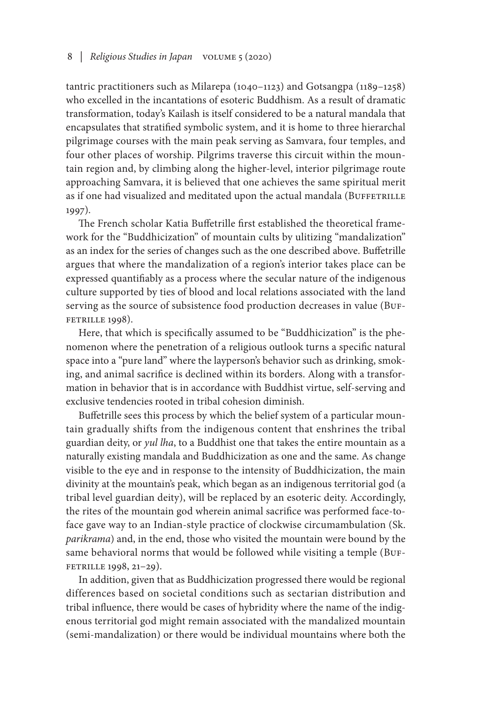### 8 *| Religious Studies in Japan* volume 5 (2020)

tantric practitioners such as Milarepa (1040–1123) and Gotsangpa (1189–1258) who excelled in the incantations of esoteric Buddhism. As a result of dramatic transformation, today's Kailash is itself considered to be a natural mandala that encapsulates that stratified symbolic system, and it is home to three hierarchal pilgrimage courses with the main peak serving as Samvara, four temples, and four other places of worship. Pilgrims traverse this circuit within the mountain region and, by climbing along the higher-level, interior pilgrimage route approaching Samvara, it is believed that one achieves the same spiritual merit as if one had visualized and meditated upon the actual mandala (BUFFETRILLE 1997).

The French scholar Katia Buffetrille first established the theoretical framework for the "Buddhicization" of mountain cults by ulitizing "mandalization" as an index for the series of changes such as the one described above. Buffetrille argues that where the mandalization of a region's interior takes place can be expressed quantifiably as a process where the secular nature of the indigenous culture supported by ties of blood and local relations associated with the land serving as the source of subsistence food production decreases in value (BUF-FETRILLE 1998).

Here, that which is specifically assumed to be "Buddhicization" is the phenomenon where the penetration of a religious outlook turns a specific natural space into a "pure land" where the layperson's behavior such as drinking, smoking, and animal sacrifice is declined within its borders. Along with a transformation in behavior that is in accordance with Buddhist virtue, self-serving and exclusive tendencies rooted in tribal cohesion diminish.

Buffetrille sees this process by which the belief system of a particular mountain gradually shifts from the indigenous content that enshrines the tribal guardian deity, or *yul lha*, to a Buddhist one that takes the entire mountain as a naturally existing mandala and Buddhicization as one and the same. As change visible to the eye and in response to the intensity of Buddhicization, the main divinity at the mountain's peak, which began as an indigenous territorial god (a tribal level guardian deity), will be replaced by an esoteric deity. Accordingly, the rites of the mountain god wherein animal sacrifice was performed face-toface gave way to an Indian-style practice of clockwise circumambulation (Sk. *parikrama*) and, in the end, those who visited the mountain were bound by the same behavioral norms that would be followed while visiting a temple (BUFfetrille 1998, 21–29).

In addition, given that as Buddhicization progressed there would be regional differences based on societal conditions such as sectarian distribution and tribal influence, there would be cases of hybridity where the name of the indigenous territorial god might remain associated with the mandalized mountain (semi-mandalization) or there would be individual mountains where both the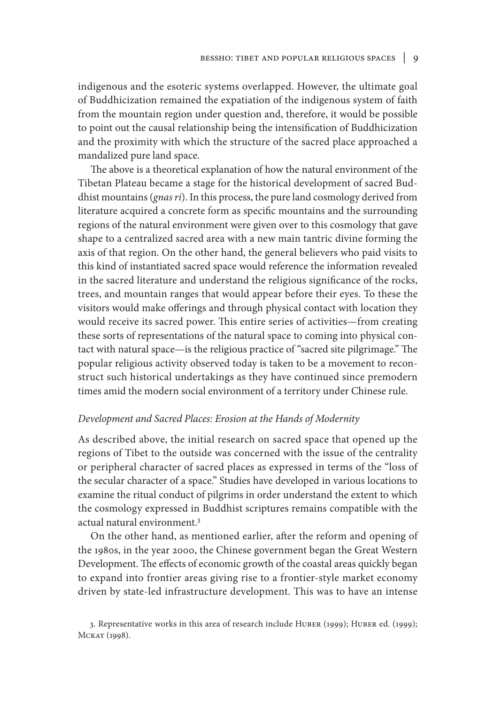indigenous and the esoteric systems overlapped. However, the ultimate goal of Buddhicization remained the expatiation of the indigenous system of faith from the mountain region under question and, therefore, it would be possible to point out the causal relationship being the intensification of Buddhicization and the proximity with which the structure of the sacred place approached a mandalized pure land space.

The above is a theoretical explanation of how the natural environment of the Tibetan Plateau became a stage for the historical development of sacred Buddhist mountains (*gnas ri*). In this process, the pure land cosmology derived from literature acquired a concrete form as specific mountains and the surrounding regions of the natural environment were given over to this cosmology that gave shape to a centralized sacred area with a new main tantric divine forming the axis of that region. On the other hand, the general believers who paid visits to this kind of instantiated sacred space would reference the information revealed in the sacred literature and understand the religious significance of the rocks, trees, and mountain ranges that would appear before their eyes. To these the visitors would make offerings and through physical contact with location they would receive its sacred power. This entire series of activities—from creating these sorts of representations of the natural space to coming into physical contact with natural space—is the religious practice of "sacred site pilgrimage." The popular religious activity observed today is taken to be a movement to reconstruct such historical undertakings as they have continued since premodern times amid the modern social environment of a territory under Chinese rule.

## *Development and Sacred Places: Erosion at the Hands of Modernity*

As described above, the initial research on sacred space that opened up the regions of Tibet to the outside was concerned with the issue of the centrality or peripheral character of sacred places as expressed in terms of the "loss of the secular character of a space." Studies have developed in various locations to examine the ritual conduct of pilgrims in order understand the extent to which the cosmology expressed in Buddhist scriptures remains compatible with the actual natural environment.3

On the other hand, as mentioned earlier, after the reform and opening of the 1980s, in the year 2000, the Chinese government began the Great Western Development. The effects of economic growth of the coastal areas quickly began to expand into frontier areas giving rise to a frontier-style market economy driven by state-led infrastructure development. This was to have an intense

<sup>3.</sup> Representative works in this area of research include Huber (1999); Huber ed. (1999); Mckay (1998).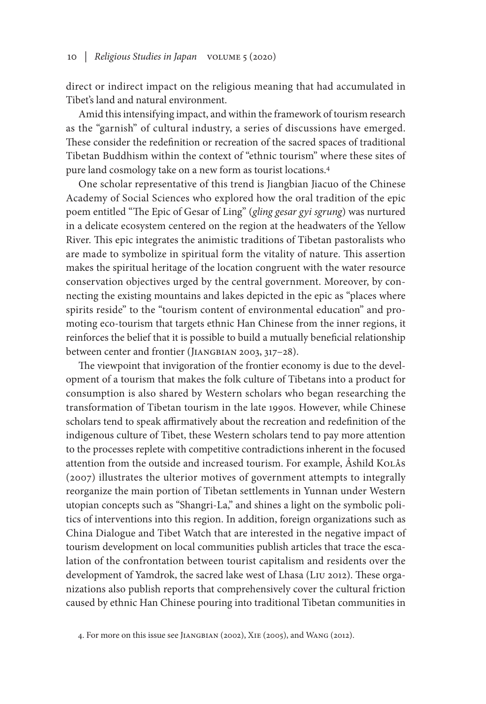direct or indirect impact on the religious meaning that had accumulated in Tibet's land and natural environment.

Amid this intensifying impact, and within the framework of tourism research as the "garnish" of cultural industry, a series of discussions have emerged. These consider the redefinition or recreation of the sacred spaces of traditional Tibetan Buddhism within the context of "ethnic tourism" where these sites of pure land cosmology take on a new form as tourist locations.4

One scholar representative of this trend is Jiangbian Jiacuo of the Chinese Academy of Social Sciences who explored how the oral tradition of the epic poem entitled "The Epic of Gesar of Ling" (*gling gesar gyi sgrung*) was nurtured in a delicate ecosystem centered on the region at the headwaters of the Yellow River. This epic integrates the animistic traditions of Tibetan pastoralists who are made to symbolize in spiritual form the vitality of nature. This assertion makes the spiritual heritage of the location congruent with the water resource conservation objectives urged by the central government. Moreover, by connecting the existing mountains and lakes depicted in the epic as "places where spirits reside" to the "tourism content of environmental education" and promoting eco-tourism that targets ethnic Han Chinese from the inner regions, it reinforces the belief that it is possible to build a mutually beneficial relationship between center and frontier (JIANGBIAN 2003, 317-28).

The viewpoint that invigoration of the frontier economy is due to the development of a tourism that makes the folk culture of Tibetans into a product for consumption is also shared by Western scholars who began researching the transformation of Tibetan tourism in the late 1990s. However, while Chinese scholars tend to speak affirmatively about the recreation and redefinition of the indigenous culture of Tibet, these Western scholars tend to pay more attention to the processes replete with competitive contradictions inherent in the focused attention from the outside and increased tourism. For example, Åshild KOLÅS (2007) illustrates the ulterior motives of government attempts to integrally reorganize the main portion of Tibetan settlements in Yunnan under Western utopian concepts such as "Shangri-La," and shines a light on the symbolic politics of interventions into this region. In addition, foreign organizations such as China Dialogue and Tibet Watch that are interested in the negative impact of tourism development on local communities publish articles that trace the escalation of the confrontation between tourist capitalism and residents over the development of Yamdrok, the sacred lake west of Lhasa (Liu 2012). These organizations also publish reports that comprehensively cover the cultural friction caused by ethnic Han Chinese pouring into traditional Tibetan communities in

<sup>4.</sup> For more on this issue see Jiangbian (2002), Xie (2005), and Wang (2012).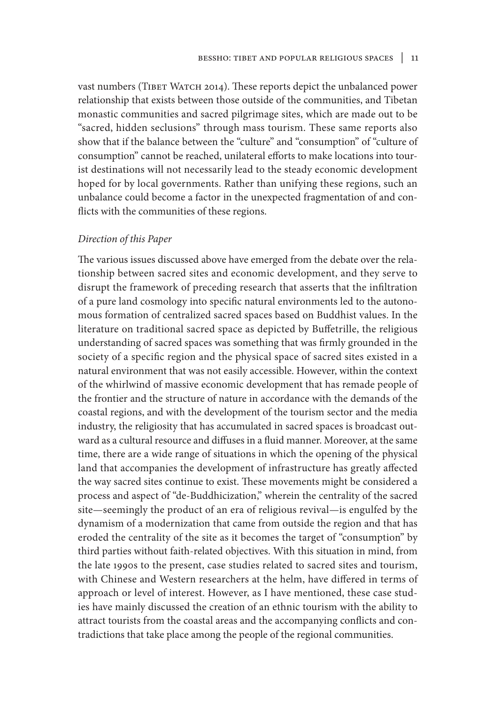vast numbers (TIBET WATCH 2014). These reports depict the unbalanced power relationship that exists between those outside of the communities, and Tibetan monastic communities and sacred pilgrimage sites, which are made out to be "sacred, hidden seclusions" through mass tourism. These same reports also show that if the balance between the "culture" and "consumption" of "culture of consumption" cannot be reached, unilateral efforts to make locations into tourist destinations will not necessarily lead to the steady economic development hoped for by local governments. Rather than unifying these regions, such an unbalance could become a factor in the unexpected fragmentation of and conflicts with the communities of these regions.

#### *Direction of this Paper*

The various issues discussed above have emerged from the debate over the relationship between sacred sites and economic development, and they serve to disrupt the framework of preceding research that asserts that the infiltration of a pure land cosmology into specific natural environments led to the autonomous formation of centralized sacred spaces based on Buddhist values. In the literature on traditional sacred space as depicted by Buffetrille, the religious understanding of sacred spaces was something that was firmly grounded in the society of a specific region and the physical space of sacred sites existed in a natural environment that was not easily accessible. However, within the context of the whirlwind of massive economic development that has remade people of the frontier and the structure of nature in accordance with the demands of the coastal regions, and with the development of the tourism sector and the media industry, the religiosity that has accumulated in sacred spaces is broadcast outward as a cultural resource and diffuses in a fluid manner. Moreover, at the same time, there are a wide range of situations in which the opening of the physical land that accompanies the development of infrastructure has greatly affected the way sacred sites continue to exist. These movements might be considered a process and aspect of "de-Buddhicization," wherein the centrality of the sacred site—seemingly the product of an era of religious revival—is engulfed by the dynamism of a modernization that came from outside the region and that has eroded the centrality of the site as it becomes the target of "consumption" by third parties without faith-related objectives. With this situation in mind, from the late 1990s to the present, case studies related to sacred sites and tourism, with Chinese and Western researchers at the helm, have differed in terms of approach or level of interest. However, as I have mentioned, these case studies have mainly discussed the creation of an ethnic tourism with the ability to attract tourists from the coastal areas and the accompanying conflicts and contradictions that take place among the people of the regional communities.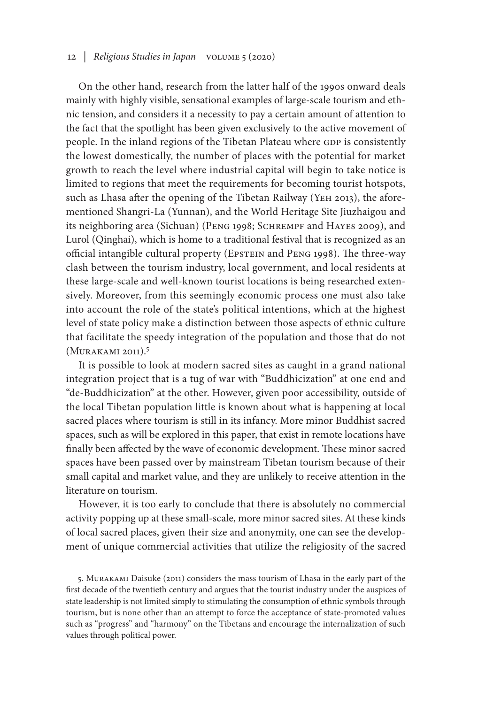### 12 *| Religious Studies in Japan* volume 5 (2020)

On the other hand, research from the latter half of the 1990s onward deals mainly with highly visible, sensational examples of large-scale tourism and ethnic tension, and considers it a necessity to pay a certain amount of attention to the fact that the spotlight has been given exclusively to the active movement of people. In the inland regions of the Tibetan Plateau where GDP is consistently the lowest domestically, the number of places with the potential for market growth to reach the level where industrial capital will begin to take notice is limited to regions that meet the requirements for becoming tourist hotspots, such as Lhasa after the opening of the Tibetan Railway (YEH 2013), the aforementioned Shangri-La (Yunnan), and the World Heritage Site Jiuzhaigou and its neighboring area (Sichuan) (PENG 1998; SCHREMPF and HAYES 2009), and Lurol (Qinghai), which is home to a traditional festival that is recognized as an official intangible cultural property (Epstein and Peng 1998). The three-way clash between the tourism industry, local government, and local residents at these large-scale and well-known tourist locations is being researched extensively. Moreover, from this seemingly economic process one must also take into account the role of the state's political intentions, which at the highest level of state policy make a distinction between those aspects of ethnic culture that facilitate the speedy integration of the population and those that do not (Murakami 2011).5

It is possible to look at modern sacred sites as caught in a grand national integration project that is a tug of war with "Buddhicization" at one end and "de-Buddhicization" at the other. However, given poor accessibility, outside of the local Tibetan population little is known about what is happening at local sacred places where tourism is still in its infancy. More minor Buddhist sacred spaces, such as will be explored in this paper, that exist in remote locations have finally been affected by the wave of economic development. These minor sacred spaces have been passed over by mainstream Tibetan tourism because of their small capital and market value, and they are unlikely to receive attention in the literature on tourism.

However, it is too early to conclude that there is absolutely no commercial activity popping up at these small-scale, more minor sacred sites. At these kinds of local sacred places, given their size and anonymity, one can see the development of unique commercial activities that utilize the religiosity of the sacred

5. Murakami Daisuke (2011) considers the mass tourism of Lhasa in the early part of the first decade of the twentieth century and argues that the tourist industry under the auspices of state leadership is not limited simply to stimulating the consumption of ethnic symbols through tourism, but is none other than an attempt to force the acceptance of state-promoted values such as "progress" and "harmony" on the Tibetans and encourage the internalization of such values through political power.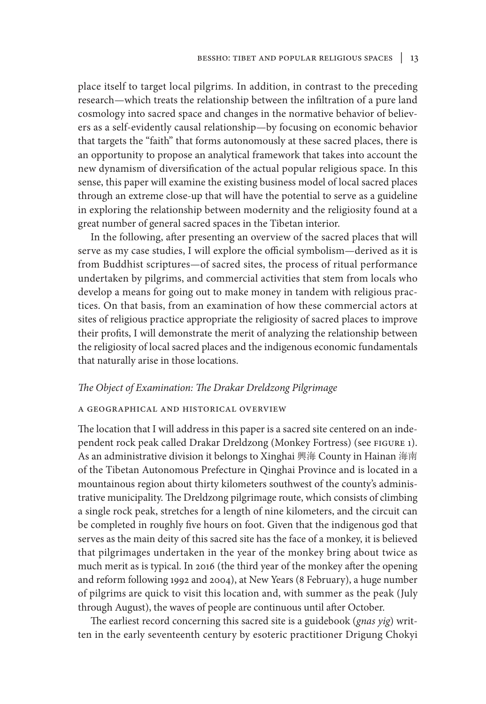place itself to target local pilgrims. In addition, in contrast to the preceding research—which treats the relationship between the infiltration of a pure land cosmology into sacred space and changes in the normative behavior of believers as a self-evidently causal relationship—by focusing on economic behavior that targets the "faith" that forms autonomously at these sacred places, there is an opportunity to propose an analytical framework that takes into account the new dynamism of diversification of the actual popular religious space. In this sense, this paper will examine the existing business model of local sacred places through an extreme close-up that will have the potential to serve as a guideline in exploring the relationship between modernity and the religiosity found at a great number of general sacred spaces in the Tibetan interior.

In the following, after presenting an overview of the sacred places that will serve as my case studies, I will explore the official symbolism—derived as it is from Buddhist scriptures—of sacred sites, the process of ritual performance undertaken by pilgrims, and commercial activities that stem from locals who develop a means for going out to make money in tandem with religious practices. On that basis, from an examination of how these commercial actors at sites of religious practice appropriate the religiosity of sacred places to improve their profits, I will demonstrate the merit of analyzing the relationship between the religiosity of local sacred places and the indigenous economic fundamentals that naturally arise in those locations.

#### *The Object of Examination: The Drakar Dreldzong Pilgrimage*

#### a geographical and historical overview

The location that I will address in this paper is a sacred site centered on an independent rock peak called Drakar Dreldzong (Monkey Fortress) (see figure 1). As an administrative division it belongs to Xinghai 興海 County in Hainan 海南 of the Tibetan Autonomous Prefecture in Qinghai Province and is located in a mountainous region about thirty kilometers southwest of the county's administrative municipality. The Dreldzong pilgrimage route, which consists of climbing a single rock peak, stretches for a length of nine kilometers, and the circuit can be completed in roughly five hours on foot. Given that the indigenous god that serves as the main deity of this sacred site has the face of a monkey, it is believed that pilgrimages undertaken in the year of the monkey bring about twice as much merit as is typical. In 2016 (the third year of the monkey after the opening and reform following 1992 and 2004), at New Years (8 February), a huge number of pilgrims are quick to visit this location and, with summer as the peak (July through August), the waves of people are continuous until after October.

The earliest record concerning this sacred site is a guidebook (*gnas yig*) written in the early seventeenth century by esoteric practitioner Drigung Chokyi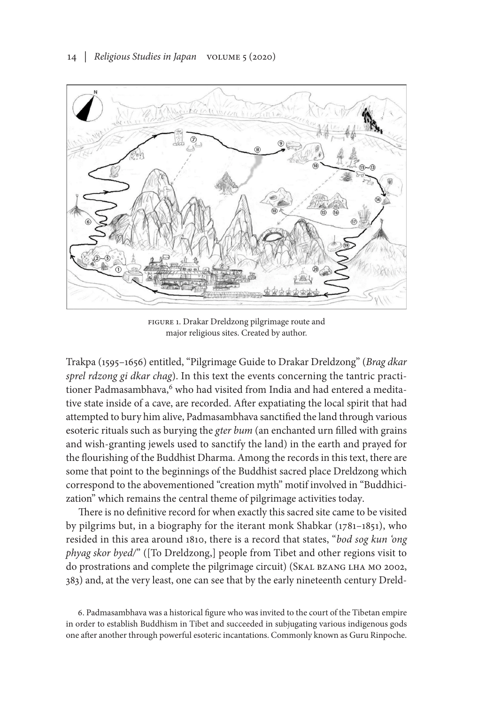

FIGURE 1. Drakar Dreldzong pilgrimage route and major religious sites. Created by author.

Trakpa (1595–1656) entitled, "Pilgrimage Guide to Drakar Dreldzong" (*Brag dkar sprel rdzong gi dkar chag*). In this text the events concerning the tantric practitioner Padmasambhava,<sup>6</sup> who had visited from India and had entered a meditative state inside of a cave, are recorded. After expatiating the local spirit that had attempted to bury him alive, Padmasambhava sanctified the land through various esoteric rituals such as burying the *gter bum* (an enchanted urn filled with grains and wish-granting jewels used to sanctify the land) in the earth and prayed for the flourishing of the Buddhist Dharma. Among the records in this text, there are some that point to the beginnings of the Buddhist sacred place Dreldzong which correspond to the abovementioned "creation myth" motif involved in "Buddhicization" which remains the central theme of pilgrimage activities today.

There is no definitive record for when exactly this sacred site came to be visited by pilgrims but, in a biography for the iterant monk Shabkar (1781–1851), who resided in this area around 1810, there is a record that states, "*bod sog kun 'ong phyag skor byed/*" ([To Dreldzong,] people from Tibet and other regions visit to do prostrations and complete the pilgrimage circuit) (Skal bzang lha mo 2002, 383) and, at the very least, one can see that by the early nineteenth century Dreld-

6. Padmasambhava was a historical figure who was invited to the court of the Tibetan empire in order to establish Buddhism in Tibet and succeeded in subjugating various indigenous gods one after another through powerful esoteric incantations. Commonly known as Guru Rinpoche.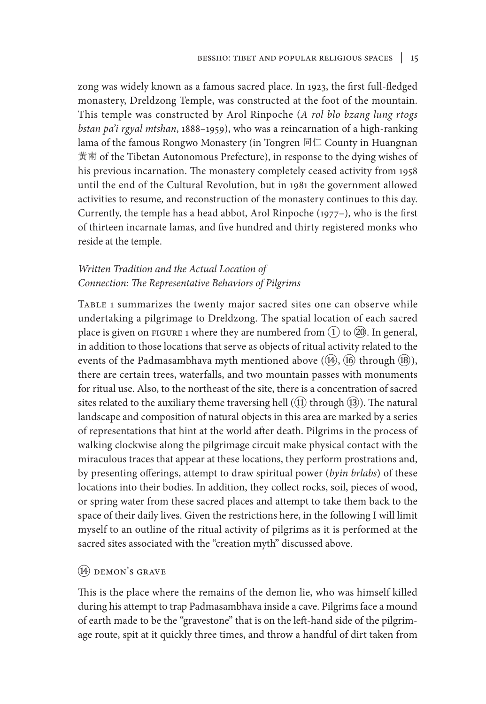zong was widely known as a famous sacred place. In 1923, the first full-fledged monastery, Dreldzong Temple, was constructed at the foot of the mountain. This temple was constructed by Arol Rinpoche (*A rol blo bzang lung rtogs bstan pa'i rgyal mtshan*, 1888–1959), who was a reincarnation of a high-ranking lama of the famous Rongwo Monastery (in Tongren 同仁 County in Huangnan 黄南 of the Tibetan Autonomous Prefecture), in response to the dying wishes of his previous incarnation. The monastery completely ceased activity from 1958 until the end of the Cultural Revolution, but in 1981 the government allowed activities to resume, and reconstruction of the monastery continues to this day. Currently, the temple has a head abbot, Arol Rinpoche (1977–), who is the first of thirteen incarnate lamas, and five hundred and thirty registered monks who reside at the temple.

## *Written Tradition and the Actual Location of Connection: The Representative Behaviors of Pilgrims*

Table 1 summarizes the twenty major sacred sites one can observe while undertaking a pilgrimage to Dreldzong. The spatial location of each sacred place is given on FIGURE 1 where they are numbered from  $(1)$  to  $(20)$ . In general, in addition to those locations that serve as objects of ritual activity related to the events of the Padmasambhava myth mentioned above  $(\mathcal{P}, \mathcal{P})$  through  $(\mathcal{P})$ , there are certain trees, waterfalls, and two mountain passes with monuments for ritual use. Also, to the northeast of the site, there is a concentration of sacred sites related to the auxiliary theme traversing hell  $((1)$  through  $(13)$ ). The natural landscape and composition of natural objects in this area are marked by a series of representations that hint at the world after death. Pilgrims in the process of walking clockwise along the pilgrimage circuit make physical contact with the miraculous traces that appear at these locations, they perform prostrations and, by presenting offerings, attempt to draw spiritual power (*byin brlabs*) of these locations into their bodies. In addition, they collect rocks, soil, pieces of wood, or spring water from these sacred places and attempt to take them back to the space of their daily lives. Given the restrictions here, in the following I will limit myself to an outline of the ritual activity of pilgrims as it is performed at the sacred sites associated with the "creation myth" discussed above.

## $(14)$  DEMON'S GRAVE

This is the place where the remains of the demon lie, who was himself killed during his attempt to trap Padmasambhava inside a cave. Pilgrims face a mound of earth made to be the "gravestone" that is on the left-hand side of the pilgrimage route, spit at it quickly three times, and throw a handful of dirt taken from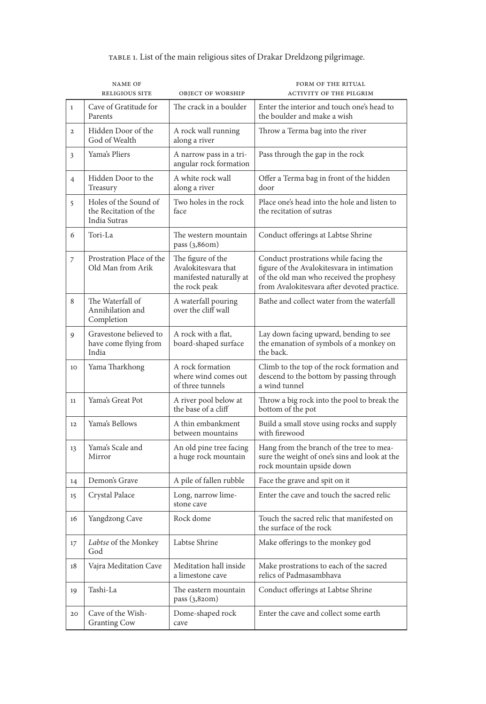|                | <b>NAME OF</b><br><b>RELIGIOUS SITE</b>                        | OBJECT OF WORSHIP                                                                    | FORM OF THE RITUAL<br><b>ACTIVITY OF THE PILGRIM</b>                                                                                                                           |
|----------------|----------------------------------------------------------------|--------------------------------------------------------------------------------------|--------------------------------------------------------------------------------------------------------------------------------------------------------------------------------|
| $\mathbf{1}$   | Cave of Gratitude for<br>Parents                               | The crack in a boulder                                                               | Enter the interior and touch one's head to<br>the boulder and make a wish                                                                                                      |
| $\overline{2}$ | Hidden Door of the<br>God of Wealth                            | A rock wall running<br>along a river                                                 | Throw a Terma bag into the river                                                                                                                                               |
| 3              | Yama's Pliers                                                  | A narrow pass in a tri-<br>angular rock formation                                    | Pass through the gap in the rock                                                                                                                                               |
| 4              | Hidden Door to the<br>Treasury                                 | A white rock wall<br>along a river                                                   | Offer a Terma bag in front of the hidden<br>door                                                                                                                               |
| 5              | Holes of the Sound of<br>the Recitation of the<br>India Sutras | Two holes in the rock<br>face                                                        | Place one's head into the hole and listen to<br>the recitation of sutras                                                                                                       |
| 6              | Tori-La                                                        | The western mountain<br>pass $(3,86$ om)                                             | Conduct offerings at Labtse Shrine                                                                                                                                             |
| 7              | Prostration Place of the<br>Old Man from Arik                  | The figure of the<br>Avalokitesvara that<br>manifested naturally at<br>the rock peak | Conduct prostrations while facing the<br>figure of the Avalokitesvara in intimation<br>of the old man who received the prophesy<br>from Avalokitesvara after devoted practice. |
| 8              | The Waterfall of<br>Annihilation and<br>Completion             | A waterfall pouring<br>over the cliff wall                                           | Bathe and collect water from the waterfall                                                                                                                                     |
| 9              | Gravestone believed to<br>have come flying from<br>India       | A rock with a flat,<br>board-shaped surface                                          | Lay down facing upward, bending to see<br>the emanation of symbols of a monkey on<br>the back.                                                                                 |
| 10             | Yama Tharkhong                                                 | A rock formation<br>where wind comes out<br>of three tunnels                         | Climb to the top of the rock formation and<br>descend to the bottom by passing through<br>a wind tunnel                                                                        |
| 11             | Yama's Great Pot                                               | A river pool below at<br>the base of a cliff                                         | Throw a big rock into the pool to break the<br>bottom of the pot                                                                                                               |
| 12             | Yama's Bellows                                                 | A thin embankment<br>between mountains                                               | Build a small stove using rocks and supply<br>with firewood                                                                                                                    |
| 13             | Yama's Scale and<br>Mirror                                     | An old pine tree facing<br>a huge rock mountain                                      | Hang from the branch of the tree to mea-<br>sure the weight of one's sins and look at the<br>rock mountain upside down                                                         |
| 14             | Demon's Grave                                                  | A pile of fallen rubble                                                              | Face the grave and spit on it                                                                                                                                                  |
| 15             | Crystal Palace                                                 | Long, narrow lime-<br>stone cave                                                     | Enter the cave and touch the sacred relic                                                                                                                                      |
| 16             | Yangdzong Cave                                                 | Rock dome                                                                            | Touch the sacred relic that manifested on<br>the surface of the rock                                                                                                           |
| 17             | Labtse of the Monkey<br>God                                    | Labtse Shrine                                                                        | Make offerings to the monkey god                                                                                                                                               |
| 18             | Vajra Meditation Cave                                          | Meditation hall inside<br>a limestone cave                                           | Make prostrations to each of the sacred<br>relics of Padmasambhava                                                                                                             |
| 19             | Tashi-La                                                       | The eastern mountain<br>pass $(3,82$ om)                                             | Conduct offerings at Labtse Shrine                                                                                                                                             |
| 20             | Cave of the Wish-<br><b>Granting Cow</b>                       | Dome-shaped rock<br>cave                                                             | Enter the cave and collect some earth                                                                                                                                          |

# table 1. List of the main religious sites of Drakar Dreldzong pilgrimage.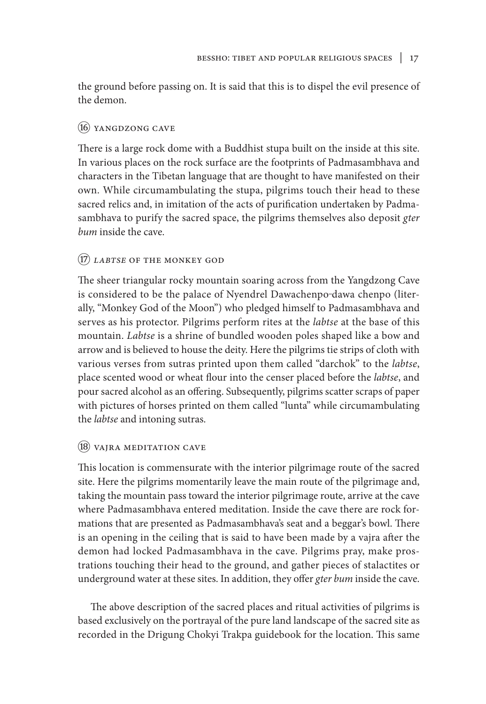the ground before passing on. It is said that this is to dispel the evil presence of the demon.

## ⑯ yangdzong cave

There is a large rock dome with a Buddhist stupa built on the inside at this site. In various places on the rock surface are the footprints of Padmasambhava and characters in the Tibetan language that are thought to have manifested on their own. While circumambulating the stupa, pilgrims touch their head to these sacred relics and, in imitation of the acts of purification undertaken by Padmasambhava to purify the sacred space, the pilgrims themselves also deposit *gter bum* inside the cave.

# ⑰ *labtse* of the monkey god

The sheer triangular rocky mountain soaring across from the Yangdzong Cave is considered to be the palace of Nyendrel Dawachenpo dawa chenpo (literally, "Monkey God of the Moon") who pledged himself to Padmasambhava and serves as his protector. Pilgrims perform rites at the *labtse* at the base of this mountain. *Labtse* is a shrine of bundled wooden poles shaped like a bow and arrow and is believed to house the deity. Here the pilgrims tie strips of cloth with various verses from sutras printed upon them called "darchok" to the *labtse*, place scented wood or wheat flour into the censer placed before the *labtse*, and pour sacred alcohol as an offering. Subsequently, pilgrims scatter scraps of paper with pictures of horses printed on them called "lunta" while circumambulating the *labtse* and intoning sutras.

## ⑱ vajra meditation cave

This location is commensurate with the interior pilgrimage route of the sacred site. Here the pilgrims momentarily leave the main route of the pilgrimage and, taking the mountain pass toward the interior pilgrimage route, arrive at the cave where Padmasambhava entered meditation. Inside the cave there are rock formations that are presented as Padmasambhava's seat and a beggar's bowl. There is an opening in the ceiling that is said to have been made by a vajra after the demon had locked Padmasambhava in the cave. Pilgrims pray, make prostrations touching their head to the ground, and gather pieces of stalactites or underground water at these sites. In addition, they offer *gter bum* inside the cave.

The above description of the sacred places and ritual activities of pilgrims is based exclusively on the portrayal of the pure land landscape of the sacred site as recorded in the Drigung Chokyi Trakpa guidebook for the location. This same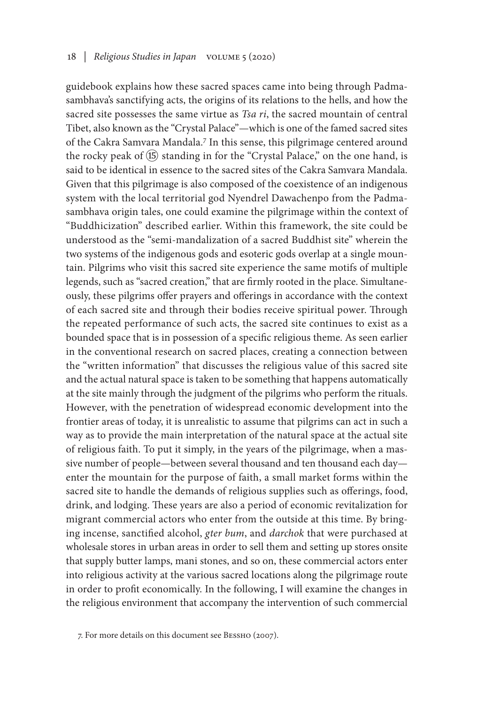guidebook explains how these sacred spaces came into being through Padmasambhava's sanctifying acts, the origins of its relations to the hells, and how the sacred site possesses the same virtue as *Tsa ri*, the sacred mountain of central Tibet, also known as the "Crystal Palace"—which is one of the famed sacred sites of the Cakra Samvara Mandala.<sup>7</sup> In this sense, this pilgrimage centered around the rocky peak of  $(\overline{15})$  standing in for the "Crystal Palace," on the one hand, is said to be identical in essence to the sacred sites of the Cakra Samvara Mandala. Given that this pilgrimage is also composed of the coexistence of an indigenous system with the local territorial god Nyendrel Dawachenpo from the Padmasambhava origin tales, one could examine the pilgrimage within the context of "Buddhicization" described earlier. Within this framework, the site could be understood as the "semi-mandalization of a sacred Buddhist site" wherein the two systems of the indigenous gods and esoteric gods overlap at a single mountain. Pilgrims who visit this sacred site experience the same motifs of multiple legends, such as "sacred creation," that are firmly rooted in the place. Simultaneously, these pilgrims offer prayers and offerings in accordance with the context of each sacred site and through their bodies receive spiritual power. Through the repeated performance of such acts, the sacred site continues to exist as a bounded space that is in possession of a specific religious theme. As seen earlier in the conventional research on sacred places, creating a connection between the "written information" that discusses the religious value of this sacred site and the actual natural space is taken to be something that happens automatically at the site mainly through the judgment of the pilgrims who perform the rituals. However, with the penetration of widespread economic development into the frontier areas of today, it is unrealistic to assume that pilgrims can act in such a way as to provide the main interpretation of the natural space at the actual site of religious faith. To put it simply, in the years of the pilgrimage, when a massive number of people—between several thousand and ten thousand each day enter the mountain for the purpose of faith, a small market forms within the sacred site to handle the demands of religious supplies such as offerings, food, drink, and lodging. These years are also a period of economic revitalization for migrant commercial actors who enter from the outside at this time. By bringing incense, sanctified alcohol, *gter bum*, and *darchok* that were purchased at wholesale stores in urban areas in order to sell them and setting up stores onsite that supply butter lamps, mani stones, and so on, these commercial actors enter into religious activity at the various sacred locations along the pilgrimage route in order to profit economically. In the following, I will examine the changes in the religious environment that accompany the intervention of such commercial

<sup>7.</sup> For more details on this document see Bessho (2007).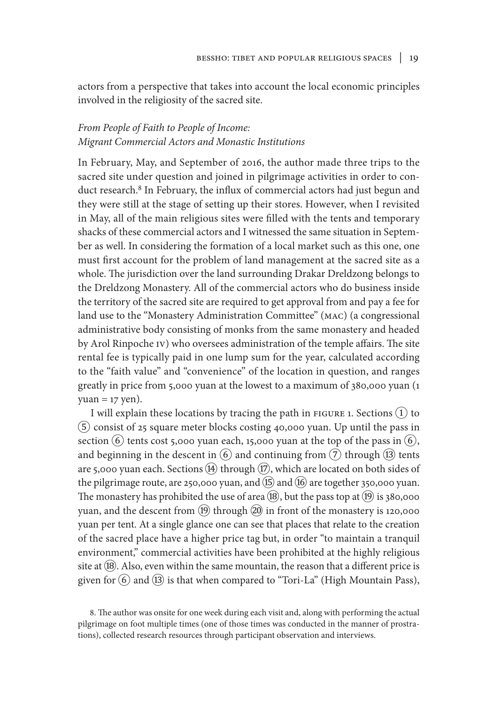actors from a perspective that takes into account the local economic principles involved in the religiosity of the sacred site.

## *From People of Faith to People of Income: Migrant Commercial Actors and Monastic Institutions*

In February, May, and September of 2016, the author made three trips to the sacred site under question and joined in pilgrimage activities in order to conduct research.<sup>8</sup> In February, the influx of commercial actors had just begun and they were still at the stage of setting up their stores. However, when I revisited in May, all of the main religious sites were filled with the tents and temporary shacks of these commercial actors and I witnessed the same situation in September as well. In considering the formation of a local market such as this one, one must first account for the problem of land management at the sacred site as a whole. The jurisdiction over the land surrounding Drakar Dreldzong belongs to the Dreldzong Monastery. All of the commercial actors who do business inside the territory of the sacred site are required to get approval from and pay a fee for land use to the "Monastery Administration Committee" (MAC) (a congressional administrative body consisting of monks from the same monastery and headed by Arol Rinpoche IV) who oversees administration of the temple affairs. The site rental fee is typically paid in one lump sum for the year, calculated according to the "faith value" and "convenience" of the location in question, and ranges greatly in price from 5,000 yuan at the lowest to a maximum of 380,000 yuan (1  $yuan = 17$  yen).

I will explain these locations by tracing the path in  $FIGURE 1$ . Sections  $(1)$  to ⑤ consist of 25 square meter blocks costing 40,000 yuan. Up until the pass in section  $(6)$  tents cost 5,000 yuan each, 15,000 yuan at the top of the pass in  $(6)$ , and beginning in the descent in  $(6)$  and continuing from  $(7)$  through  $(13)$  tents are 5,000 yuan each. Sections  $(4)$  through  $(17)$ , which are located on both sides of the pilgrimage route, are 250,000 yuan, and  $(15)$  and  $(16)$  are together 350,000 yuan. The monastery has prohibited the use of area  $(18)$ , but the pass top at  $(19)$  is 380,000 yuan, and the descent from  $\circledR$  through  $\circledR$  in front of the monastery is 120,000 yuan per tent. At a single glance one can see that places that relate to the creation of the sacred place have a higher price tag but, in order "to maintain a tranquil environment," commercial activities have been prohibited at the highly religious site at  $(\overline{18})$ . Also, even within the same mountain, the reason that a different price is given for  $(6)$  and  $(13)$  is that when compared to "Tori-La" (High Mountain Pass),

8. The author was onsite for one week during each visit and, along with performing the actual pilgrimage on foot multiple times (one of those times was conducted in the manner of prostrations), collected research resources through participant observation and interviews.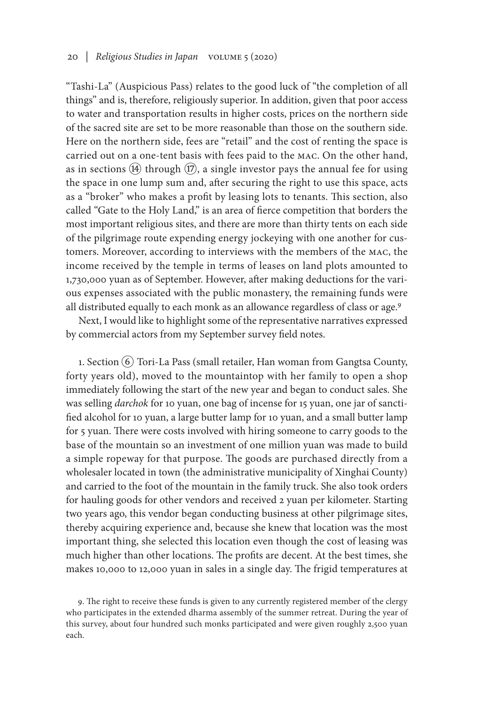### 20 *| Religious Studies in Japan* volume 5 (2020)

"Tashi-La" (Auspicious Pass) relates to the good luck of "the completion of all things" and is, therefore, religiously superior. In addition, given that poor access to water and transportation results in higher costs, prices on the northern side of the sacred site are set to be more reasonable than those on the southern side. Here on the northern side, fees are "retail" and the cost of renting the space is carried out on a one-tent basis with fees paid to the MAC. On the other hand, as in sections  $(\overline{4})$  through  $(\overline{12})$ , a single investor pays the annual fee for using the space in one lump sum and, after securing the right to use this space, acts as a "broker" who makes a profit by leasing lots to tenants. This section, also called "Gate to the Holy Land," is an area of fierce competition that borders the most important religious sites, and there are more than thirty tents on each side of the pilgrimage route expending energy jockeying with one another for customers. Moreover, according to interviews with the members of the MAC, the income received by the temple in terms of leases on land plots amounted to 1,730,000 yuan as of September. However, after making deductions for the various expenses associated with the public monastery, the remaining funds were all distributed equally to each monk as an allowance regardless of class or age.9

Next, I would like to highlight some of the representative narratives expressed by commercial actors from my September survey field notes.

1. Section  $\overline{6}$  Tori-La Pass (small retailer, Han woman from Gangtsa County, forty years old), moved to the mountaintop with her family to open a shop immediately following the start of the new year and began to conduct sales. She was selling *darchok* for 10 yuan, one bag of incense for 15 yuan, one jar of sanctified alcohol for 10 yuan, a large butter lamp for 10 yuan, and a small butter lamp for 5 yuan. There were costs involved with hiring someone to carry goods to the base of the mountain so an investment of one million yuan was made to build a simple ropeway for that purpose. The goods are purchased directly from a wholesaler located in town (the administrative municipality of Xinghai County) and carried to the foot of the mountain in the family truck. She also took orders for hauling goods for other vendors and received 2 yuan per kilometer. Starting two years ago, this vendor began conducting business at other pilgrimage sites, thereby acquiring experience and, because she knew that location was the most important thing, she selected this location even though the cost of leasing was much higher than other locations. The profits are decent. At the best times, she makes 10,000 to 12,000 yuan in sales in a single day. The frigid temperatures at

9. The right to receive these funds is given to any currently registered member of the clergy who participates in the extended dharma assembly of the summer retreat. During the year of this survey, about four hundred such monks participated and were given roughly 2,500 yuan each.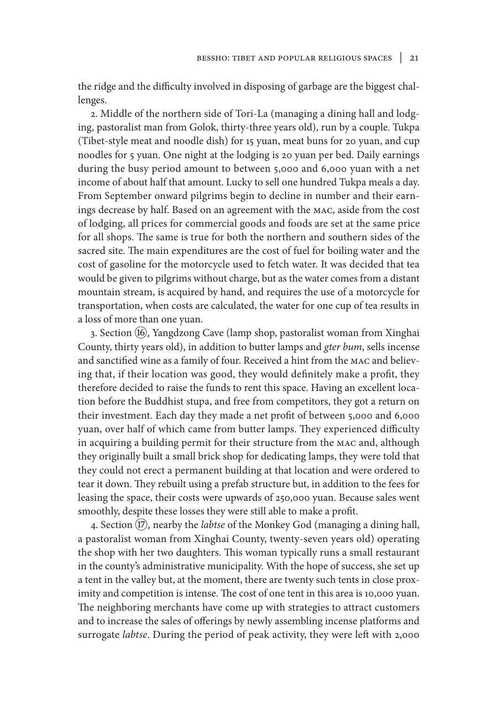the ridge and the difficulty involved in disposing of garbage are the biggest challenges.

2. Middle of the northern side of Tori-La (managing a dining hall and lodging, pastoralist man from Golok, thirty-three years old), run by a couple. Tukpa (Tibet-style meat and noodle dish) for 15 yuan, meat buns for 20 yuan, and cup noodles for 5 yuan. One night at the lodging is 20 yuan per bed. Daily earnings during the busy period amount to between 5,000 and 6,000 yuan with a net income of about half that amount. Lucky to sell one hundred Tukpa meals a day. From September onward pilgrims begin to decline in number and their earnings decrease by half. Based on an agreement with the MAC, aside from the cost of lodging, all prices for commercial goods and foods are set at the same price for all shops. The same is true for both the northern and southern sides of the sacred site. The main expenditures are the cost of fuel for boiling water and the cost of gasoline for the motorcycle used to fetch water. It was decided that tea would be given to pilgrims without charge, but as the water comes from a distant mountain stream, is acquired by hand, and requires the use of a motorcycle for transportation, when costs are calculated, the water for one cup of tea results in a loss of more than one yuan.

3. Section (16), Yangdzong Cave (lamp shop, pastoralist woman from Xinghai County, thirty years old), in addition to butter lamps and *gter bum*, sells incense and sanctified wine as a family of four. Received a hint from the MAC and believing that, if their location was good, they would definitely make a profit, they therefore decided to raise the funds to rent this space. Having an excellent location before the Buddhist stupa, and free from competitors, they got a return on their investment. Each day they made a net profit of between 5,000 and 6,000 yuan, over half of which came from butter lamps. They experienced difficulty in acquiring a building permit for their structure from the MAC and, although they originally built a small brick shop for dedicating lamps, they were told that they could not erect a permanent building at that location and were ordered to tear it down. They rebuilt using a prefab structure but, in addition to the fees for leasing the space, their costs were upwards of 250,000 yuan. Because sales went smoothly, despite these losses they were still able to make a profit.

4. Section (17), nearby the *labtse* of the Monkey God (managing a dining hall, a pastoralist woman from Xinghai County, twenty-seven years old) operating the shop with her two daughters. This woman typically runs a small restaurant in the county's administrative municipality. With the hope of success, she set up a tent in the valley but, at the moment, there are twenty such tents in close proximity and competition is intense. The cost of one tent in this area is 10,000 yuan. The neighboring merchants have come up with strategies to attract customers and to increase the sales of offerings by newly assembling incense platforms and surrogate *labtse*. During the period of peak activity, they were left with 2,000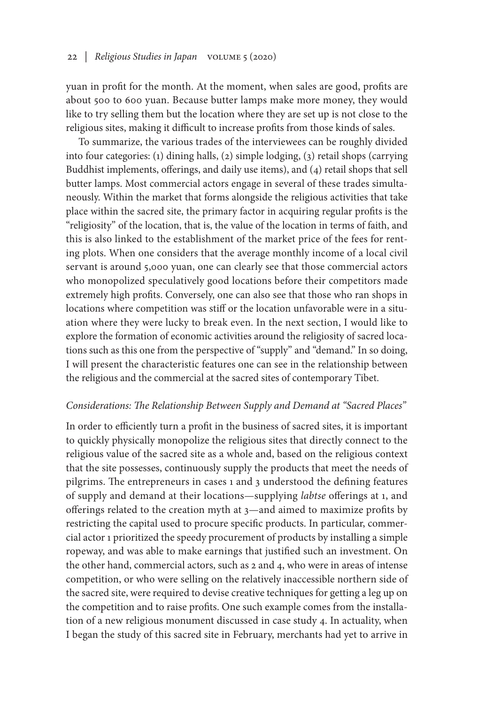yuan in profit for the month. At the moment, when sales are good, profits are about 500 to 600 yuan. Because butter lamps make more money, they would like to try selling them but the location where they are set up is not close to the religious sites, making it difficult to increase profits from those kinds of sales.

To summarize, the various trades of the interviewees can be roughly divided into four categories: (1) dining halls, (2) simple lodging, (3) retail shops (carrying Buddhist implements, offerings, and daily use items), and (4) retail shops that sell butter lamps. Most commercial actors engage in several of these trades simultaneously. Within the market that forms alongside the religious activities that take place within the sacred site, the primary factor in acquiring regular profits is the "religiosity" of the location, that is, the value of the location in terms of faith, and this is also linked to the establishment of the market price of the fees for renting plots. When one considers that the average monthly income of a local civil servant is around 5,000 yuan, one can clearly see that those commercial actors who monopolized speculatively good locations before their competitors made extremely high profits. Conversely, one can also see that those who ran shops in locations where competition was stiff or the location unfavorable were in a situation where they were lucky to break even. In the next section, I would like to explore the formation of economic activities around the religiosity of sacred locations such as this one from the perspective of "supply" and "demand." In so doing, I will present the characteristic features one can see in the relationship between the religious and the commercial at the sacred sites of contemporary Tibet.

#### *Considerations: The Relationship Between Supply and Demand at "Sacred Places"*

In order to efficiently turn a profit in the business of sacred sites, it is important to quickly physically monopolize the religious sites that directly connect to the religious value of the sacred site as a whole and, based on the religious context that the site possesses, continuously supply the products that meet the needs of pilgrims. The entrepreneurs in cases 1 and 3 understood the defining features of supply and demand at their locations—supplying *labtse* offerings at 1, and offerings related to the creation myth at 3—and aimed to maximize profits by restricting the capital used to procure specific products. In particular, commercial actor 1 prioritized the speedy procurement of products by installing a simple ropeway, and was able to make earnings that justified such an investment. On the other hand, commercial actors, such as 2 and 4, who were in areas of intense competition, or who were selling on the relatively inaccessible northern side of the sacred site, were required to devise creative techniques for getting a leg up on the competition and to raise profits. One such example comes from the installation of a new religious monument discussed in case study 4. In actuality, when I began the study of this sacred site in February, merchants had yet to arrive in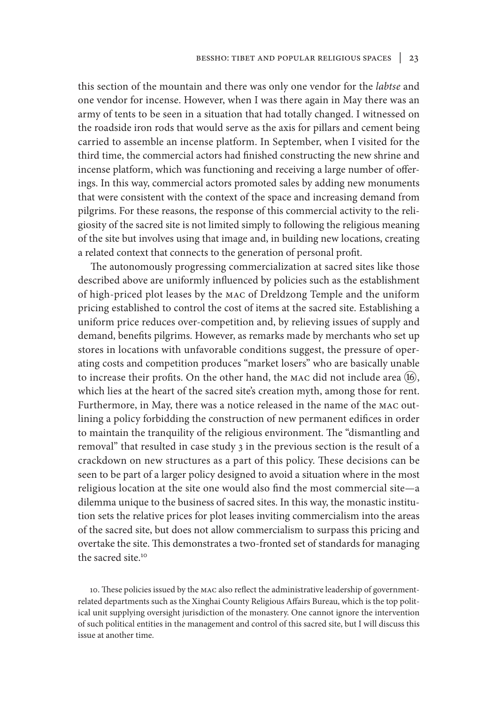this section of the mountain and there was only one vendor for the *labtse* and one vendor for incense. However, when I was there again in May there was an army of tents to be seen in a situation that had totally changed. I witnessed on the roadside iron rods that would serve as the axis for pillars and cement being carried to assemble an incense platform. In September, when I visited for the third time, the commercial actors had finished constructing the new shrine and incense platform, which was functioning and receiving a large number of offerings. In this way, commercial actors promoted sales by adding new monuments that were consistent with the context of the space and increasing demand from pilgrims. For these reasons, the response of this commercial activity to the religiosity of the sacred site is not limited simply to following the religious meaning of the site but involves using that image and, in building new locations, creating a related context that connects to the generation of personal profit.

The autonomously progressing commercialization at sacred sites like those described above are uniformly influenced by policies such as the establishment of high-priced plot leases by the MAC of Dreldzong Temple and the uniform pricing established to control the cost of items at the sacred site. Establishing a uniform price reduces over-competition and, by relieving issues of supply and demand, benefits pilgrims. However, as remarks made by merchants who set up stores in locations with unfavorable conditions suggest, the pressure of operating costs and competition produces "market losers" who are basically unable to increase their profits. On the other hand, the MAC did not include area  $(16)$ , which lies at the heart of the sacred site's creation myth, among those for rent. Furthermore, in May, there was a notice released in the name of the MAC outlining a policy forbidding the construction of new permanent edifices in order to maintain the tranquility of the religious environment. The "dismantling and removal" that resulted in case study 3 in the previous section is the result of a crackdown on new structures as a part of this policy. These decisions can be seen to be part of a larger policy designed to avoid a situation where in the most religious location at the site one would also find the most commercial site—a dilemma unique to the business of sacred sites. In this way, the monastic institution sets the relative prices for plot leases inviting commercialism into the areas of the sacred site, but does not allow commercialism to surpass this pricing and overtake the site. This demonstrates a two-fronted set of standards for managing the sacred site<sup>10</sup>

10. These policies issued by the MAC also reflect the administrative leadership of governmentrelated departments such as the Xinghai County Religious Affairs Bureau, which is the top political unit supplying oversight jurisdiction of the monastery. One cannot ignore the intervention of such political entities in the management and control of this sacred site, but I will discuss this issue at another time.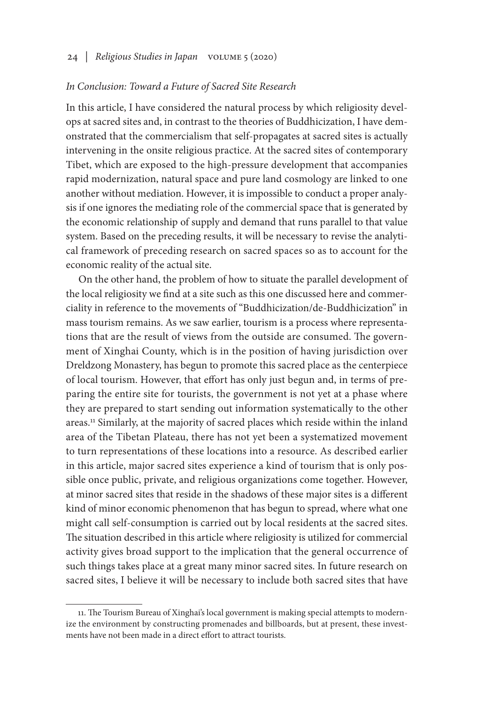#### *In Conclusion: Toward a Future of Sacred Site Research*

In this article, I have considered the natural process by which religiosity develops at sacred sites and, in contrast to the theories of Buddhicization, I have demonstrated that the commercialism that self-propagates at sacred sites is actually intervening in the onsite religious practice. At the sacred sites of contemporary Tibet, which are exposed to the high-pressure development that accompanies rapid modernization, natural space and pure land cosmology are linked to one another without mediation. However, it is impossible to conduct a proper analysis if one ignores the mediating role of the commercial space that is generated by the economic relationship of supply and demand that runs parallel to that value system. Based on the preceding results, it will be necessary to revise the analytical framework of preceding research on sacred spaces so as to account for the economic reality of the actual site.

On the other hand, the problem of how to situate the parallel development of the local religiosity we find at a site such as this one discussed here and commerciality in reference to the movements of "Buddhicization/de-Buddhicization" in mass tourism remains. As we saw earlier, tourism is a process where representations that are the result of views from the outside are consumed. The government of Xinghai County, which is in the position of having jurisdiction over Dreldzong Monastery, has begun to promote this sacred place as the centerpiece of local tourism. However, that effort has only just begun and, in terms of preparing the entire site for tourists, the government is not yet at a phase where they are prepared to start sending out information systematically to the other areas.11 Similarly, at the majority of sacred places which reside within the inland area of the Tibetan Plateau, there has not yet been a systematized movement to turn representations of these locations into a resource. As described earlier in this article, major sacred sites experience a kind of tourism that is only possible once public, private, and religious organizations come together. However, at minor sacred sites that reside in the shadows of these major sites is a different kind of minor economic phenomenon that has begun to spread, where what one might call self-consumption is carried out by local residents at the sacred sites. The situation described in this article where religiosity is utilized for commercial activity gives broad support to the implication that the general occurrence of such things takes place at a great many minor sacred sites. In future research on sacred sites, I believe it will be necessary to include both sacred sites that have

<sup>11.</sup> The Tourism Bureau of Xinghai's local government is making special attempts to modernize the environment by constructing promenades and billboards, but at present, these investments have not been made in a direct effort to attract tourists.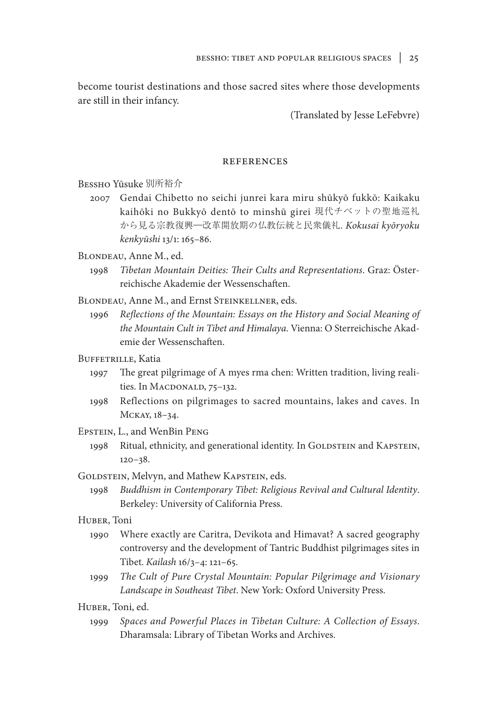become tourist destinations and those sacred sites where those developments are still in their infancy.

(Translated by Jesse LeFebvre)

#### **REFERENCES**

Bessho Yūsuke 別所裕介

2007 Gendai Chibetto no seichi junrei kara miru shūkyō fukkō: Kaikaku kaihōki no Bukkyō dentō to minshū girei 現代チベットの聖地巡礼 から見る宗教復興―改革開放期の仏教伝統と民衆儀礼. *Kokusai kyōryoku kenkyūshi* 13/1: 165–86.

BLONDEAU, Anne M., ed.

1998 *Tibetan Mountain Deities: Their Cults and Representations*. Graz: Österreichische Akademie der Wessenschaften.

BLONDEAU, Anne M., and Ernst STEINKELLNER, eds.

1996 *Reflections of the Mountain: Essays on the History and Social Meaning of the Mountain Cult in Tibet and Himalaya*. Vienna: O Sterreichische Akademie der Wessenschaften.

### BUFFETRILLE, Katia

- 1997 The great pilgrimage of A myes rma chen: Written tradition, living realities. In MACDONALD, 75-132.
- 1998 Reflections on pilgrimages to sacred mountains, lakes and caves. In Mckay, 18–34.

#### Epstein, L., and WenBin Peng

- 1998 Ritual, ethnicity, and generational identity. In GOLDSTEIN and KAPSTEIN, 120–38.
- GOLDSTEIN, Melvyn, and Mathew KAPSTEIN, eds.
	- 1998 *Buddhism in Contemporary Tibet: Religious Revival and Cultural Identity*. Berkeley: University of California Press.

## Huber, Toni

- 1990 Where exactly are Caritra, Devikota and Himavat? A sacred geography controversy and the development of Tantric Buddhist pilgrimages sites in Tibet. *Kailash* 16/3–4: 121–65.
- 1999 *The Cult of Pure Crystal Mountain: Popular Pilgrimage and Visionary Landscape in Southeast Tibet*. New York: Oxford University Press.

Huber, Toni, ed.

1999 *Spaces and Powerful Places in Tibetan Culture: A Collection of Essays*. Dharamsala: Library of Tibetan Works and Archives.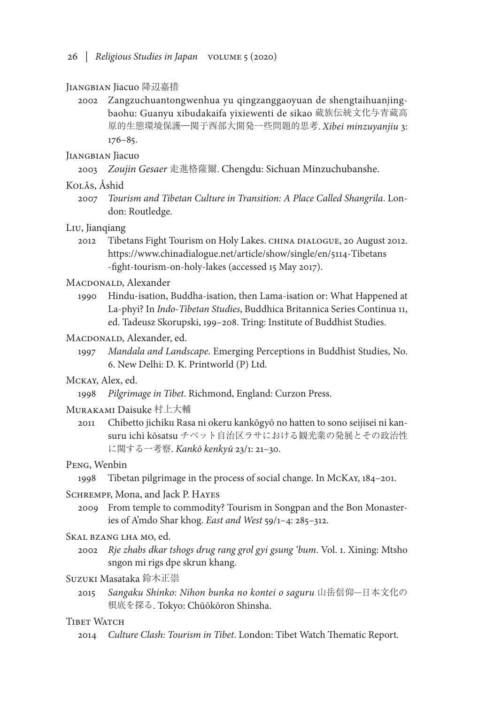#### Jiangbian Jiacuo 降辺嘉措

2002 Zangzuchuantongwenhua yu qingzanggaoyuan de shengtaihuanjingbaohu: Guanyu xibudakaifa yixiewenti de sikao 蔵族伝統文化与青蔵高 原的生態環境保護―関于西部大開発一些問題的思考. *Xibei minzuyanjiu* 3: 176–85.

### Jiangbian Jiacuo

2003 *Zoujin Gesaer* 走進格薩爾. Chengdu: Sichuan Minzuchubanshe.

#### Kolås, Åshid

2007 *Tourism and Tibetan Culture in Transition: A Place Called Shangrila*. London: Routledge.

#### Liu, Jianqiang

2012 Tibetans Fight Tourism on Holy Lakes. CHINA DIALOGUE, 20 August 2012. https://www.chinadialogue.net/article/show/single/en/5114-Tibetans -fight-tourism-on-holy-lakes (accessed 15 May 2017).

## MACDONALD, Alexander

1990 Hindu-isation, Buddha-isation, then Lama-isation or: What Happened at La-phyi? In *Indo-Tibetan Studies*, Buddhica Britannica Series Continua 11, ed. Tadeusz Skorupski, 199–208. Tring: Institute of Buddhist Studies.

## MACDONALD, Alexander, ed.

1997 *Mandala and Landscape*. Emerging Perceptions in Buddhist Studies, No. 6. New Delhi: D. K. Printworld (P) Ltd.

## Mckay, Alex, ed.

1998 *Pilgrimage in Tibet*. Richmond, England: Curzon Press.

## Murakami Daisuke 村上大輔

2011 Chibetto jichiku Rasa ni okeru kankōgyō no hatten to sono seijisei ni kansuru ichi kōsatsu チベット自治区ラサにおける観光業の発展とその政治性 に関する一考察. *Kankō kenkyū* 23/1: 21–30.

#### Peng, Wenbin

1998 Tibetan pilgrimage in the process of social change. In McKay, 184–201.

### SCHREMPF, Mona, and Jack P. HAYES

2009 From temple to commodity? Tourism in Songpan and the Bon Monasteries of A'mdo Shar khog. *East and West* 59/1–4: 285–312.

#### Skal bzang lha mo, ed.

2002 *Rje zhabs dkar tshogs drug rang grol gyi gsung 'bum*. Vol. 1. Xining: Mtsho sngon mi rigs dpe skrun khang.

#### Suzuki Masataka 鈴木正崇

2015 *Sangaku Shinko: Nihon bunka no kontei o saguru* 山岳信仰―日本文化の 根底を探る. Tokyo: Chūōkōron Shinsha.

### TIBET WATCH

2014 *Culture Clash: Tourism in Tibet*. London: Tibet Watch Thematic Report.